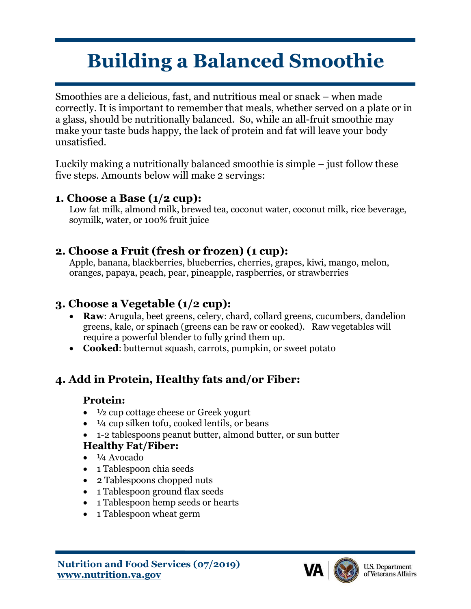# **Building a Balanced Smoothie**

Smoothies are a delicious, fast, and nutritious meal or snack – when made correctly. It is important to remember that meals, whether served on a plate or in a glass, should be nutritionally balanced. So, while an all-fruit smoothie may make your taste buds happy, the lack of protein and fat will leave your body unsatisfied.

Luckily making a nutritionally balanced smoothie is simple – just follow these five steps. Amounts below will make 2 servings:

#### **1. Choose a Base (1/2 cup):**

Low fat milk, almond milk, brewed tea, coconut water, coconut milk, rice beverage, soymilk, water, or 100% fruit juice

#### **2. Choose a Fruit (fresh or frozen) (1 cup):**

Apple, banana, blackberries, blueberries, cherries, grapes, kiwi, mango, melon, oranges, papaya, peach, pear, pineapple, raspberries, or strawberries

## **3. Choose a Vegetable (1/2 cup):**

- **Raw**: Arugula, beet greens, celery, chard, collard greens, cucumbers, dandelion greens, kale, or spinach (greens can be raw or cooked). Raw vegetables will require a powerful blender to fully grind them up.
- **Cooked**: butternut squash, carrots, pumpkin, or sweet potato

## **4. Add in Protein, Healthy fats and/or Fiber:**

#### **Protein:**

- <sup>1/2</sup> cup cottage cheese or Greek yogurt
- $\bullet$   $\frac{1}{4}$  cup silken tofu, cooked lentils, or beans
- 1-2 tablespoons peanut butter, almond butter, or sun butter

### **Healthy Fat/Fiber:**

- ¼ Avocado
- 1 Tablespoon chia seeds
- 2 Tablespoons chopped nuts
- 1 Tablespoon ground flax seeds
- 1 Tablespoon hemp seeds or hearts
- 1 Tablespoon wheat germ